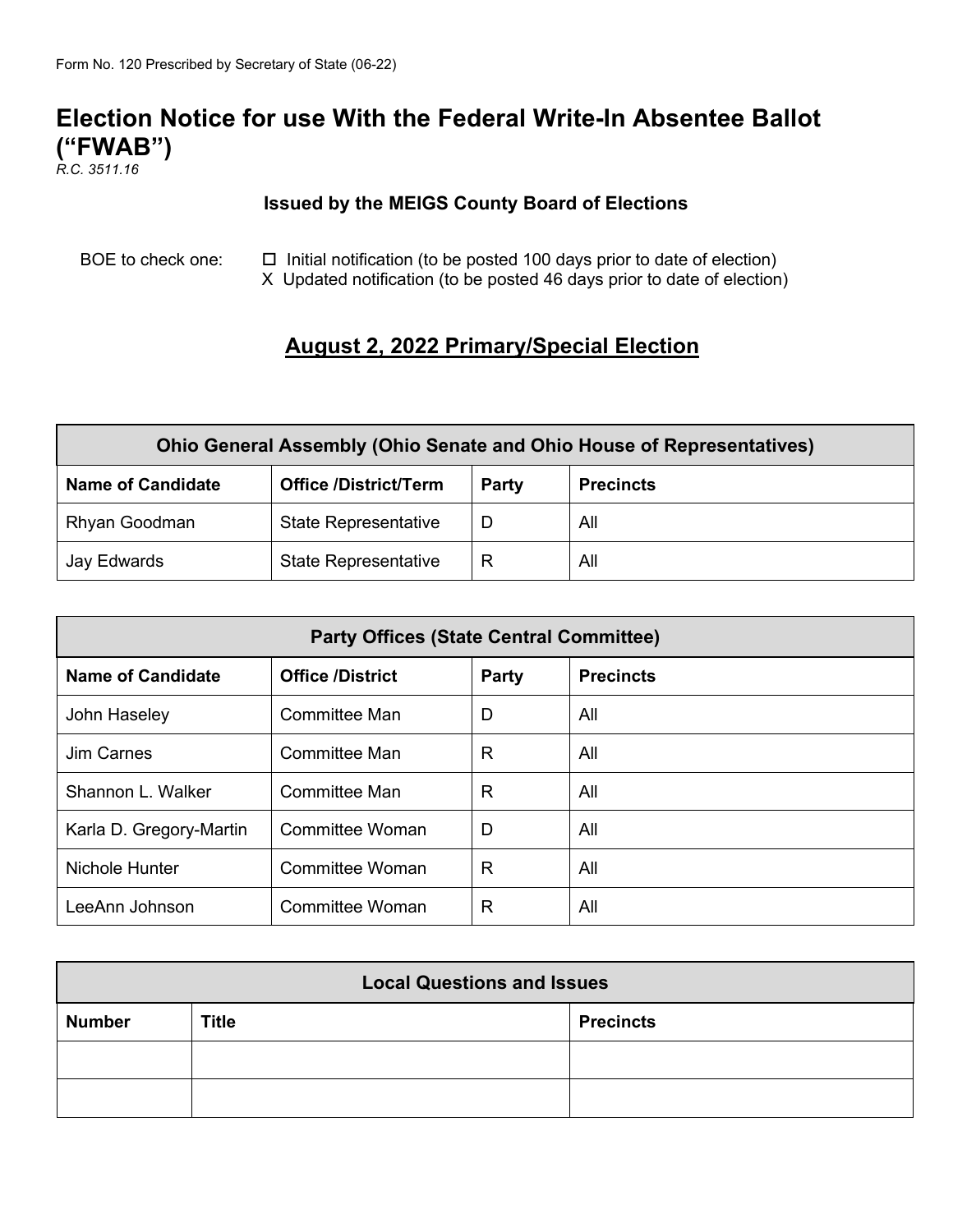# **Election Notice for use With the Federal Write-In Absentee Ballot ("FWAB")**

*R.C. 3511.16*

#### **Issued by the MEIGS County Board of Elections**

BOE to check one:  $\Box$  Initial notification (to be posted 100 days prior to date of election) X Updated notification (to be posted 46 days prior to date of election)

## **August 2, 2022 Primary/Special Election**

| <b>Ohio General Assembly (Ohio Senate and Ohio House of Representatives)</b> |                              |       |                  |  |  |
|------------------------------------------------------------------------------|------------------------------|-------|------------------|--|--|
| <b>Name of Candidate</b>                                                     | <b>Office /District/Term</b> | Party | <b>Precincts</b> |  |  |
| <b>Rhyan Goodman</b>                                                         | <b>State Representative</b>  |       | All              |  |  |
| Jay Edwards                                                                  | <b>State Representative</b>  |       | All              |  |  |

| <b>Party Offices (State Central Committee)</b> |                         |              |                  |  |  |
|------------------------------------------------|-------------------------|--------------|------------------|--|--|
| <b>Name of Candidate</b>                       | <b>Office /District</b> | <b>Party</b> | <b>Precincts</b> |  |  |
| John Haseley                                   | Committee Man           | D            | All              |  |  |
| Jim Carnes                                     | Committee Man           | $\mathsf{R}$ | All              |  |  |
| Shannon L. Walker                              | <b>Committee Man</b>    | R            | All              |  |  |
| Karla D. Gregory-Martin                        | Committee Woman         | D            | All              |  |  |
| Nichole Hunter                                 | Committee Woman         | $\mathsf{R}$ | All              |  |  |
| LeeAnn Johnson                                 | <b>Committee Woman</b>  | R            | All              |  |  |

| <b>Local Questions and Issues</b> |              |                  |  |  |
|-----------------------------------|--------------|------------------|--|--|
| <b>Number</b>                     | <b>Title</b> | <b>Precincts</b> |  |  |
|                                   |              |                  |  |  |
|                                   |              |                  |  |  |